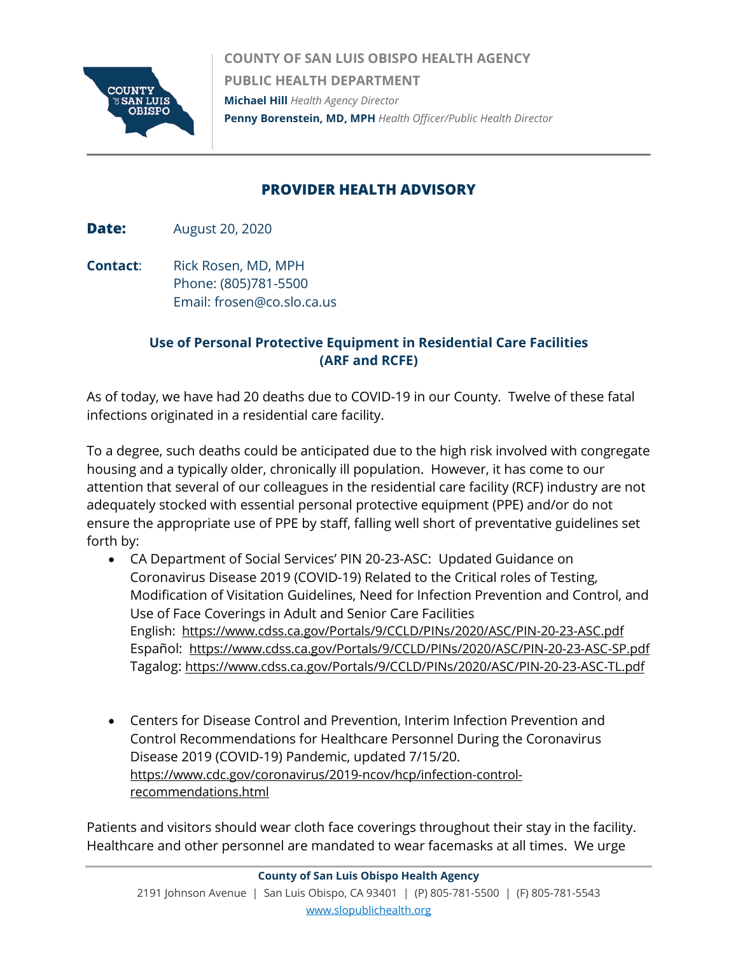

**COUNTY OF SAN LUIS OBISPO HEALTH AGENCY PUBLIC HEALTH DEPARTMENT Michael Hill** *Health Agency Director*  **Penny Borenstein, MD, MPH** *Health Officer/Public Health Director*

## **PROVIDER HEALTH ADVISORY**

**Date:** August 20, 2020

**Contact:** Rick Rosen, MD, MPH Phone: (805)781-5500 Email: frosen@co.slo.ca.us

## **Use of Personal Protective Equipment in Residential Care Facilities (ARF and RCFE)**

As of today, we have had 20 deaths due to COVID-19 in our County. Twelve of these fatal infections originated in a residential care facility.

To a degree, such deaths could be anticipated due to the high risk involved with congregate housing and a typically older, chronically ill population. However, it has come to our attention that several of our colleagues in the residential care facility (RCF) industry are not adequately stocked with essential personal protective equipment (PPE) and/or do not ensure the appropriate use of PPE by staff, falling well short of preventative guidelines set forth by:

- CA Department of Social Services' PIN 20-23-ASC: Updated Guidance on Coronavirus Disease 2019 (COVID-19) Related to the Critical roles of Testing, Modification of Visitation Guidelines, Need for Infection Prevention and Control, and Use of Face Coverings in Adult and Senior Care Facilities English: <https://www.cdss.ca.gov/Portals/9/CCLD/PINs/2020/ASC/PIN-20-23-ASC.pdf> Español: <https://www.cdss.ca.gov/Portals/9/CCLD/PINs/2020/ASC/PIN-20-23-ASC-SP.pdf> Tagalog:<https://www.cdss.ca.gov/Portals/9/CCLD/PINs/2020/ASC/PIN-20-23-ASC-TL.pdf>
- Centers for Disease Control and Prevention, Interim Infection Prevention and Control Recommendations for Healthcare Personnel During the Coronavirus Disease 2019 (COVID-19) Pandemic, updated 7/15/20. [https://www.cdc.gov/coronavirus/2019-ncov/hcp/infection-control](https://www.cdc.gov/coronavirus/2019-ncov/hcp/infection-control-recommendations.html)[recommendations.html](https://www.cdc.gov/coronavirus/2019-ncov/hcp/infection-control-recommendations.html)

Patients and visitors should wear cloth face coverings throughout their stay in the facility. Healthcare and other personnel are mandated to wear facemasks at all times. We urge